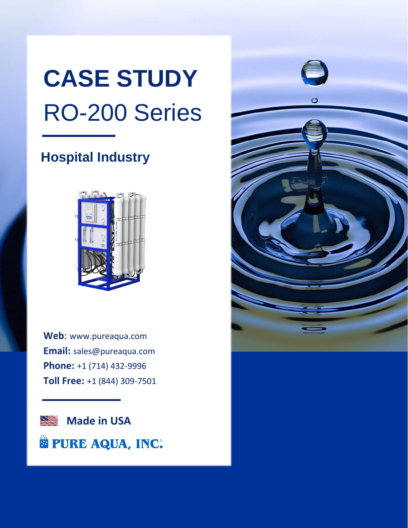# **CASE STUDY** RO-200 Series

# **Hospital Industry**



**Web**: [www.pureaqua.com](http://www.pureaqua.com/) **Email:** [sales@pureaqua.com](mailto:sales@pureaqua.com) **Phone:** +1 (714) 432-9996 **Toll Free:** +1 (844) 309-7501

**Made in USA STEP E PURE AQUA, INC.** 

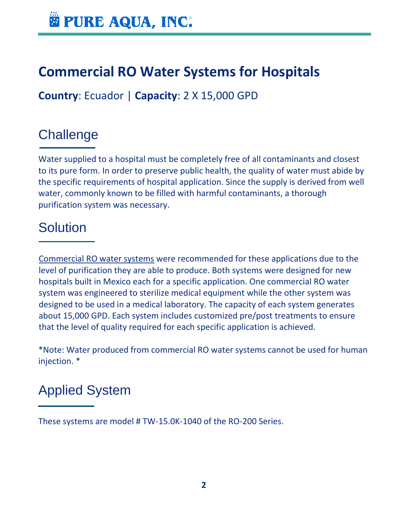# **Commercial RO Water Systems for Hospitals**

**Country**: Ecuador | **Capacity**: 2 X 15,000 GPD

#### **Challenge**

Water supplied to a hospital must be completely free of all contaminants and closest to its pure form. In order to preserve public health, the quality of water must abide by the specific requirements of hospital application. Since the supply is derived from well water, commonly known to be filled with harmful contaminants, a thorough purification system was necessary.

#### **Solution**

[Commercial RO water systems](https://www.pureaqua.com/commercial-reverse-osmosis-ro-systems/) were recommended for these applications due to the level of purification they are able to produce. Both systems were designed for new hospitals built in Mexico each for a specific application. One commercial RO water system was engineered to sterilize medical equipment while the other system was designed to be used in a medical laboratory. The capacity of each system generates about 15,000 GPD. Each system includes customized pre/post treatments to ensure that the level of quality required for each specific application is achieved.

\*Note: Water produced from commercial RO water systems cannot be used for human injection. \*

# Applied System

These systems are model # TW-15.0K-1040 of the RO-200 Series.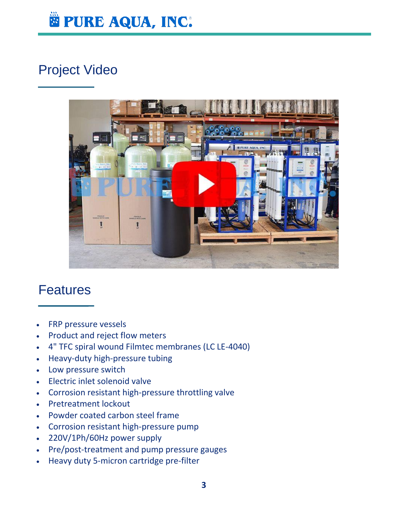

### Project Video



#### Features

- FRP pressure vessels
- Product and reject flow meters
- 4" TFC spiral wound Filmtec membranes (LC LE-4040)
- Heavy-duty high-pressure tubing
- Low pressure switch
- Electric inlet solenoid valve
- Corrosion resistant high-pressure throttling valve
- Pretreatment lockout
- Powder coated carbon steel frame
- Corrosion resistant high-pressure pump
- 220V/1Ph/60Hz power supply
- Pre/post-treatment and pump pressure gauges
- Heavy duty 5-micron cartridge pre-filter